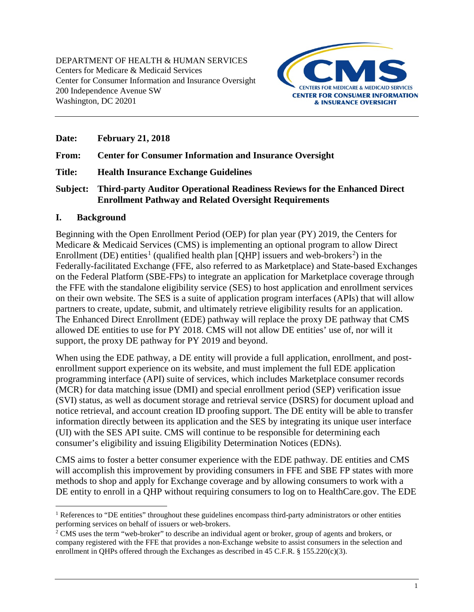

**Date: February 21, 2018** 

**From: Center for Consumer Information and Insurance Oversight** 

**Title: Health Insurance Exchange Guidelines** 

**Subject: Third-party Auditor Operational Readiness Reviews for the Enhanced Direct Enrollment Pathway and Related Oversight Requirements**

#### **I. Background**

Beginning with the Open Enrollment Period (OEP) for plan year (PY) 2019, the Centers for Medicare & Medicaid Services (CMS) is implementing an optional program to allow Direct Enrollment (DE) entities<sup>[1](#page-0-0)</sup> (qualified health plan [QHP] issuers and web-brokers<sup>[2](#page-0-1)</sup>) in the Federally-facilitated Exchange (FFE, also referred to as Marketplace) and State-based Exchanges on the Federal Platform (SBE-FPs) to integrate an application for Marketplace coverage through the FFE with the standalone eligibility service (SES) to host application and enrollment services on their own website. The SES is a suite of application program interfaces (APIs) that will allow partners to create, update, submit, and ultimately retrieve eligibility results for an application. The Enhanced Direct Enrollment (EDE) pathway will replace the proxy DE pathway that CMS allowed DE entities to use for PY 2018. CMS will not allow DE entities' use of, nor will it support, the proxy DE pathway for PY 2019 and beyond.

When using the EDE pathway, a DE entity will provide a full application, enrollment, and postenrollment support experience on its website, and must implement the full EDE application programming interface (API) suite of services, which includes Marketplace consumer records (MCR) for data matching issue (DMI) and special enrollment period (SEP) verification issue (SVI) status, as well as document storage and retrieval service (DSRS) for document upload and notice retrieval, and account creation ID proofing support. The DE entity will be able to transfer information directly between its application and the SES by integrating its unique user interface (UI) with the SES API suite. CMS will continue to be responsible for determining each consumer's eligibility and issuing Eligibility Determination Notices (EDNs).

CMS aims to foster a better consumer experience with the EDE pathway. DE entities and CMS will accomplish this improvement by providing consumers in FFE and SBE FP states with more methods to shop and apply for Exchange coverage and by allowing consumers to work with a DE entity to enroll in a QHP without requiring consumers to log on to HealthCare.gov. The EDE

<span id="page-0-0"></span> $\overline{a}$ <sup>1</sup> References to "DE entities" throughout these guidelines encompass third-party administrators or other entities performing services on behalf of issuers or web-brokers.

<span id="page-0-1"></span><sup>&</sup>lt;sup>2</sup> CMS uses the term "web-broker" to describe an individual agent or broker, group of agents and brokers, or company registered with the FFE that provides a non-Exchange website to assist consumers in the selection and enrollment in QHPs offered through the Exchanges as described in 45 C.F.R. § 155.220(c)(3).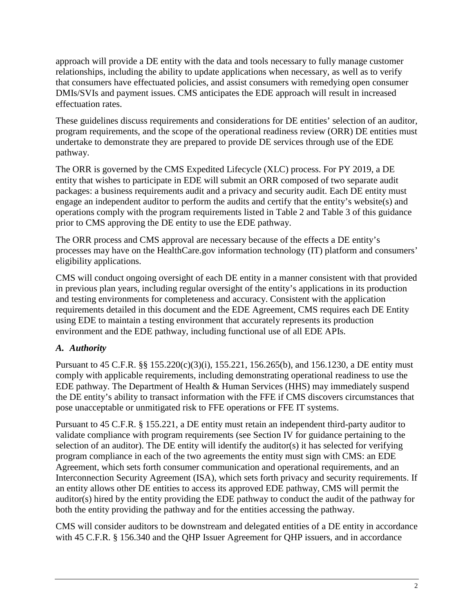approach will provide a DE entity with the data and tools necessary to fully manage customer relationships, including the ability to update applications when necessary, as well as to verify that consumers have effectuated policies, and assist consumers with remedying open consumer DMIs/SVIs and payment issues. CMS anticipates the EDE approach will result in increased effectuation rates.

These guidelines discuss requirements and considerations for DE entities' selection of an auditor, program requirements, and the scope of the operational readiness review (ORR) DE entities must undertake to demonstrate they are prepared to provide DE services through use of the EDE pathway.

The ORR is governed by the CMS Expedited Lifecycle (XLC) process. For PY 2019, a DE entity that wishes to participate in EDE will submit an ORR composed of two separate audit packages: a business requirements audit and a privacy and security audit. Each DE entity must engage an independent auditor to perform the audits and certify that the entity's website(s) and operations comply with the program requirements listed in [Table 2](#page-5-0) and [Table 3](#page-10-0) of this guidance prior to CMS approving the DE entity to use the EDE pathway.

The ORR process and CMS approval are necessary because of the effects a DE entity's processes may have on the HealthCare.gov information technology (IT) platform and consumers' eligibility applications.

CMS will conduct ongoing oversight of each DE entity in a manner consistent with that provided in previous plan years, including regular oversight of the entity's applications in its production and testing environments for completeness and accuracy. Consistent with the application requirements detailed in this document and the EDE Agreement, CMS requires each DE Entity using EDE to maintain a testing environment that accurately represents its production environment and the EDE pathway, including functional use of all EDE APIs.

## *A. Authority*

Pursuant to 45 C.F.R. §§ 155.220(c)(3)(i), 155.221, 156.265(b), and 156.1230, a DE entity must comply with applicable requirements, including demonstrating operational readiness to use the EDE pathway. The Department of Health & Human Services (HHS) may immediately suspend the DE entity's ability to transact information with the FFE if CMS discovers circumstances that pose unacceptable or unmitigated risk to FFE operations or FFE IT systems.

Pursuant to 45 C.F.R. § 155.221, a DE entity must retain an independent third-party auditor to validate compliance with program requirements (see Section [IV](#page-10-1) for guidance pertaining to the selection of an auditor). The DE entity will identify the auditor(s) it has selected for verifying program compliance in each of the two agreements the entity must sign with CMS: an EDE Agreement, which sets forth consumer communication and operational requirements, and an Interconnection Security Agreement (ISA), which sets forth privacy and security requirements. If an entity allows other DE entities to access its approved EDE pathway, CMS will permit the auditor(s) hired by the entity providing the EDE pathway to conduct the audit of the pathway for both the entity providing the pathway and for the entities accessing the pathway.

CMS will consider auditors to be downstream and delegated entities of a DE entity in accordance with 45 C.F.R. § 156.340 and the QHP Issuer Agreement for QHP issuers, and in accordance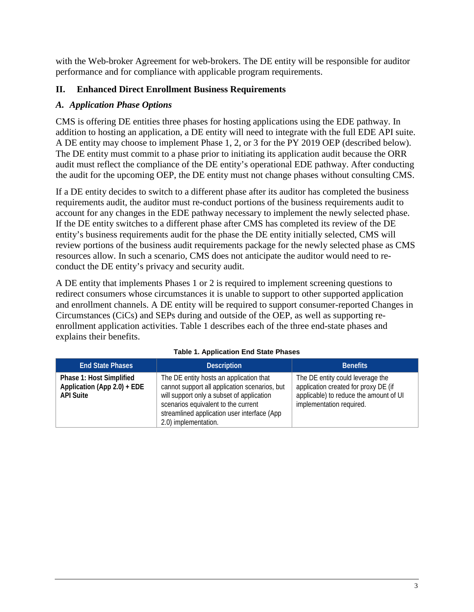with the Web-broker Agreement for web-brokers. The DE entity will be responsible for auditor performance and for compliance with applicable program requirements.

### **II. Enhanced Direct Enrollment Business Requirements**

#### *A. Application Phase Options*

CMS is offering DE entities three phases for hosting applications using the EDE pathway. In addition to hosting an application, a DE entity will need to integrate with the full EDE API suite. A DE entity may choose to implement Phase 1, 2, or 3 for the PY 2019 OEP (described below). The DE entity must commit to a phase prior to initiating its application audit because the ORR audit must reflect the compliance of the DE entity's operational EDE pathway. After conducting the audit for the upcoming OEP, the DE entity must not change phases without consulting CMS.

If a DE entity decides to switch to a different phase after its auditor has completed the business requirements audit, the auditor must re-conduct portions of the business requirements audit to account for any changes in the EDE pathway necessary to implement the newly selected phase. If the DE entity switches to a different phase after CMS has completed its review of the DE entity's business requirements audit for the phase the DE entity initially selected, CMS will review portions of the business audit requirements package for the newly selected phase as CMS resources allow. In such a scenario, CMS does not anticipate the auditor would need to reconduct the DE entity's privacy and security audit.

A DE entity that implements Phases 1 or 2 is required to implement screening questions to redirect consumers whose circumstances it is unable to support to other supported application and enrollment channels. A DE entity will be required to support consumer-reported Changes in Circumstances (CiCs) and SEPs during and outside of the OEP, as well as supporting reenrollment application activities. [Table 1](#page-2-0) describes each of the three end-state phases and explains their benefits.

<span id="page-2-0"></span>

| <b>End State Phases</b>                                                     | <b>Description</b>                                                                                                                                                                                                                                  | <b>Benefits</b>                                                                                                                                |
|-----------------------------------------------------------------------------|-----------------------------------------------------------------------------------------------------------------------------------------------------------------------------------------------------------------------------------------------------|------------------------------------------------------------------------------------------------------------------------------------------------|
| Phase 1: Host Simplified<br>Application (App 2.0) + EDE<br><b>API Suite</b> | The DE entity hosts an application that<br>cannot support all application scenarios, but<br>will support only a subset of application<br>scenarios equivalent to the current<br>streamlined application user interface (App<br>2.0) implementation. | The DE entity could leverage the<br>application created for proxy DE (if<br>applicable) to reduce the amount of UI<br>implementation required. |

#### **Table 1. Application End State Phases**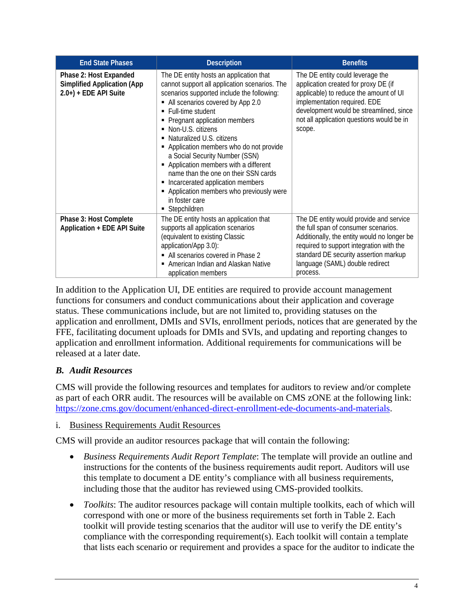| <b>End State Phases</b>                                                                  | <b>Description</b>                                                                                                                                                                                                                                                                                                                                                                                                                                                                                                                                                                    | <b>Benefits</b>                                                                                                                                                                                                                                                    |
|------------------------------------------------------------------------------------------|---------------------------------------------------------------------------------------------------------------------------------------------------------------------------------------------------------------------------------------------------------------------------------------------------------------------------------------------------------------------------------------------------------------------------------------------------------------------------------------------------------------------------------------------------------------------------------------|--------------------------------------------------------------------------------------------------------------------------------------------------------------------------------------------------------------------------------------------------------------------|
| Phase 2: Host Expanded<br><b>Simplified Application (App</b><br>$2.0+$ ) + EDE API Suite | The DE entity hosts an application that<br>cannot support all application scenarios. The<br>scenarios supported include the following:<br>• All scenarios covered by App 2.0<br>• Full-time student<br>• Pregnant application members<br>• Non-U.S. citizens<br>• Naturalized U.S. citizens<br>• Application members who do not provide<br>a Social Security Number (SSN)<br>Application members with a different<br>٠<br>name than the one on their SSN cards<br>• Incarcerated application members<br>• Application members who previously were<br>in foster care<br>• Stepchildren | The DE entity could leverage the<br>application created for proxy DE (if<br>applicable) to reduce the amount of UI<br>implementation required. EDE<br>development would be streamlined, since<br>not all application questions would be in<br>scope.               |
| Phase 3: Host Complete<br>Application + EDE API Suite                                    | The DE entity hosts an application that<br>supports all application scenarios<br>(equivalent to existing Classic<br>application/App 3.0):<br>• All scenarios covered in Phase 2<br>American Indian and Alaskan Native<br>٠<br>application members                                                                                                                                                                                                                                                                                                                                     | The DE entity would provide and service<br>the full span of consumer scenarios.<br>Additionally, the entity would no longer be<br>required to support integration with the<br>standard DE security assertion markup<br>language (SAML) double redirect<br>process. |

In addition to the Application UI, DE entities are required to provide account management functions for consumers and conduct communications about their application and coverage status. These communications include, but are not limited to, providing statuses on the application and enrollment, DMIs and SVIs, enrollment periods, notices that are generated by the FFE, facilitating document uploads for DMIs and SVIs, and updating and reporting changes to application and enrollment information. Additional requirements for communications will be released at a later date.

# *B. Audit Resources*

CMS will provide the following resources and templates for auditors to review and/or complete as part of each ORR audit. The resources will be available on CMS zONE at the following link: [https://zone.cms.gov/document/enhanced-direct-enrollment-ede-documents-and-materials.](https://zone.cms.gov/document/enhanced-direct-enrollment-ede-documents-and-materials)

i. Business Requirements Audit Resources

CMS will provide an auditor resources package that will contain the following:

- *Business Requirements Audit Report Template*: The template will provide an outline and instructions for the contents of the business requirements audit report. Auditors will use this template to document a DE entity's compliance with all business requirements, including those that the auditor has reviewed using CMS-provided toolkits.
- *Toolkits*: The auditor resources package will contain multiple toolkits, each of which will correspond with one or more of the business requirements set forth in [Table 2.](#page-5-0) Each toolkit will provide testing scenarios that the auditor will use to verify the DE entity's compliance with the corresponding requirement(s). Each toolkit will contain a template that lists each scenario or requirement and provides a space for the auditor to indicate the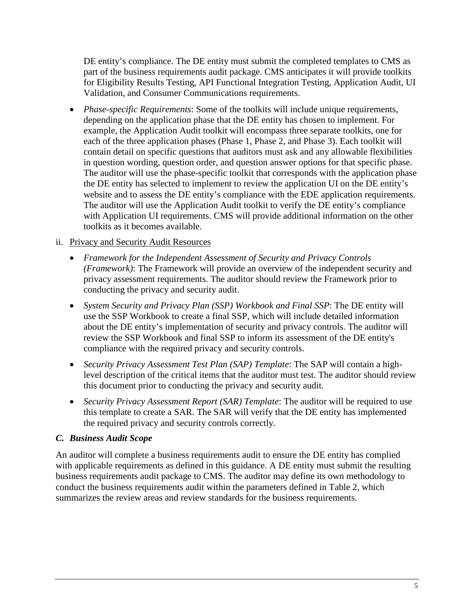DE entity's compliance. The DE entity must submit the completed templates to CMS as part of the business requirements audit package. CMS anticipates it will provide toolkits for Eligibility Results Testing, API Functional Integration Testing, Application Audit, UI Validation, and Consumer Communications requirements.

• *Phase-specific Requirements*: Some of the toolkits will include unique requirements, depending on the application phase that the DE entity has chosen to implement. For example, the Application Audit toolkit will encompass three separate toolkits, one for each of the three application phases (Phase 1, Phase 2, and Phase 3). Each toolkit will contain detail on specific questions that auditors must ask and any allowable flexibilities in question wording, question order, and question answer options for that specific phase. The auditor will use the phase-specific toolkit that corresponds with the application phase the DE entity has selected to implement to review the application UI on the DE entity's website and to assess the DE entity's compliance with the EDE application requirements. The auditor will use the Application Audit toolkit to verify the DE entity's compliance with Application UI requirements. CMS will provide additional information on the other toolkits as it becomes available.

#### ii. Privacy and Security Audit Resources

- *Framework for the Independent Assessment of Security and Privacy Controls (Framework)*: The Framework will provide an overview of the independent security and privacy assessment requirements. The auditor should review the Framework prior to conducting the privacy and security audit.
- *System Security and Privacy Plan (SSP) Workbook and Final SSP*: The DE entity will use the SSP Workbook to create a final SSP, which will include detailed information about the DE entity's implementation of security and privacy controls. The auditor will review the SSP Workbook and final SSP to inform its assessment of the DE entity's compliance with the required privacy and security controls.
- *Security Privacy Assessment Test Plan (SAP) Template*: The SAP will contain a highlevel description of the critical items that the auditor must test. The auditor should review this document prior to conducting the privacy and security audit.
- *Security Privacy Assessment Report (SAR) Template*: The auditor will be required to use this template to create a SAR. The SAR will verify that the DE entity has implemented the required privacy and security controls correctly.

#### *C. Business Audit Scope*

An auditor will complete a business requirements audit to ensure the DE entity has complied with applicable requirements as defined in this guidance. A DE entity must submit the resulting business requirements audit package to CMS. The auditor may define its own methodology to conduct the business requirements audit within the parameters defined in [Table 2,](#page-5-0) which summarizes the review areas and review standards for the business requirements.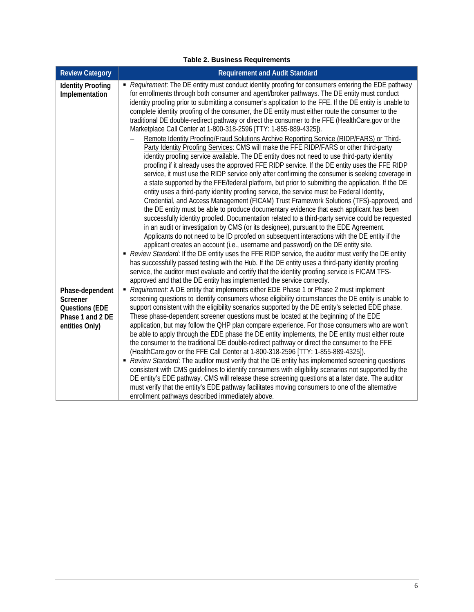<span id="page-5-0"></span>

| <b>Review Category</b>                                                                     | <b>Requirement and Audit Standard</b>                                                                                                                                                                                                                                                                                                                                                                                                                                                                                                                                                                                                                                                                                                                                                                                                                                                                                                                                                                                                                                                                                                                                                                                                                                                                                                                                                                                                                                                                                                                                                                                                                                                                                                                                                                                                                                                                                                                                                                                                                                                                                                                                                                                                                     |
|--------------------------------------------------------------------------------------------|-----------------------------------------------------------------------------------------------------------------------------------------------------------------------------------------------------------------------------------------------------------------------------------------------------------------------------------------------------------------------------------------------------------------------------------------------------------------------------------------------------------------------------------------------------------------------------------------------------------------------------------------------------------------------------------------------------------------------------------------------------------------------------------------------------------------------------------------------------------------------------------------------------------------------------------------------------------------------------------------------------------------------------------------------------------------------------------------------------------------------------------------------------------------------------------------------------------------------------------------------------------------------------------------------------------------------------------------------------------------------------------------------------------------------------------------------------------------------------------------------------------------------------------------------------------------------------------------------------------------------------------------------------------------------------------------------------------------------------------------------------------------------------------------------------------------------------------------------------------------------------------------------------------------------------------------------------------------------------------------------------------------------------------------------------------------------------------------------------------------------------------------------------------------------------------------------------------------------------------------------------------|
| <b>Identity Proofing</b><br>Implementation                                                 | - Requirement: The DE entity must conduct identity proofing for consumers entering the EDE pathway<br>for enrollments through both consumer and agent/broker pathways. The DE entity must conduct<br>identity proofing prior to submitting a consumer's application to the FFE. If the DE entity is unable to<br>complete identity proofing of the consumer, the DE entity must either route the consumer to the<br>traditional DE double-redirect pathway or direct the consumer to the FFE (HealthCare.gov or the<br>Marketplace Call Center at 1-800-318-2596 [TTY: 1-855-889-4325]).<br>Remote Identity Proofing/Fraud Solutions Archive Reporting Service (RIDP/FARS) or Third-<br>Party Identity Proofing Services: CMS will make the FFE RIDP/FARS or other third-party<br>identity proofing service available. The DE entity does not need to use third-party identity<br>proofing if it already uses the approved FFE RIDP service. If the DE entity uses the FFE RIDP<br>service, it must use the RIDP service only after confirming the consumer is seeking coverage in<br>a state supported by the FFE/federal platform, but prior to submitting the application. If the DE<br>entity uses a third-party identity proofing service, the service must be Federal Identity,<br>Credential, and Access Management (FICAM) Trust Framework Solutions (TFS)-approved, and<br>the DE entity must be able to produce documentary evidence that each applicant has been<br>successfully identity proofed. Documentation related to a third-party service could be requested<br>in an audit or investigation by CMS (or its designee), pursuant to the EDE Agreement.<br>Applicants do not need to be ID proofed on subsequent interactions with the DE entity if the<br>applicant creates an account (i.e., username and password) on the DE entity site.<br>- Review Standard: If the DE entity uses the FFE RIDP service, the auditor must verify the DE entity<br>has successfully passed testing with the Hub. If the DE entity uses a third-party identity proofing<br>service, the auditor must evaluate and certify that the identity proofing service is FICAM TFS-<br>approved and that the DE entity has implemented the service correctly. |
| Phase-dependent<br>Screener<br><b>Questions (EDE</b><br>Phase 1 and 2 DE<br>entities Only) | Requirement: A DE entity that implements either EDE Phase 1 or Phase 2 must implement<br>screening questions to identify consumers whose eligibility circumstances the DE entity is unable to<br>support consistent with the eligibility scenarios supported by the DE entity's selected EDE phase.<br>These phase-dependent screener questions must be located at the beginning of the EDE<br>application, but may follow the QHP plan compare experience. For those consumers who are won't<br>be able to apply through the EDE phase the DE entity implements, the DE entity must either route<br>the consumer to the traditional DE double-redirect pathway or direct the consumer to the FFE<br>(HealthCare.gov or the FFE Call Center at 1-800-318-2596 [TTY: 1-855-889-4325]).<br>- Review Standard: The auditor must verify that the DE entity has implemented screening questions<br>consistent with CMS guidelines to identify consumers with eligibility scenarios not supported by the<br>DE entity's EDE pathway. CMS will release these screening questions at a later date. The auditor<br>must verify that the entity's EDE pathway facilitates moving consumers to one of the alternative<br>enrollment pathways described immediately above.                                                                                                                                                                                                                                                                                                                                                                                                                                                                                                                                                                                                                                                                                                                                                                                                                                                                                                                                                                                            |

#### **Table 2. Business Requirements**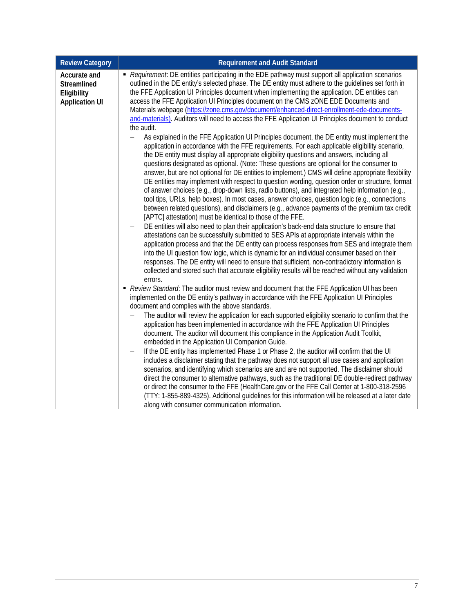| <b>Review Category</b>                                              | <b>Requirement and Audit Standard</b>                                                                                                                                                                                                                                                                                                                                                                                                                                                                                                                                                                                                                                                                                                                                                                                                                                                                                                                                                                                                                                                                                                                                                                |  |  |
|---------------------------------------------------------------------|------------------------------------------------------------------------------------------------------------------------------------------------------------------------------------------------------------------------------------------------------------------------------------------------------------------------------------------------------------------------------------------------------------------------------------------------------------------------------------------------------------------------------------------------------------------------------------------------------------------------------------------------------------------------------------------------------------------------------------------------------------------------------------------------------------------------------------------------------------------------------------------------------------------------------------------------------------------------------------------------------------------------------------------------------------------------------------------------------------------------------------------------------------------------------------------------------|--|--|
| Accurate and<br>Streamlined<br>Eligibility<br><b>Application UI</b> | • Requirement: DE entities participating in the EDE pathway must support all application scenarios<br>outlined in the DE entity's selected phase. The DE entity must adhere to the quidelines set forth in<br>the FFE Application UI Principles document when implementing the application. DE entities can<br>access the FFE Application UI Principles document on the CMS zONE EDE Documents and<br>Materials webpage (https://zone.cms.gov/document/enhanced-direct-enrollment-ede-documents-<br>and-materials). Auditors will need to access the FFE Application UI Principles document to conduct<br>the audit.<br>As explained in the FFE Application UI Principles document, the DE entity must implement the<br>$\qquad \qquad -$                                                                                                                                                                                                                                                                                                                                                                                                                                                            |  |  |
|                                                                     | application in accordance with the FFE requirements. For each applicable eligibility scenario,<br>the DE entity must display all appropriate eligibility questions and answers, including all<br>questions designated as optional. (Note: These questions are optional for the consumer to<br>answer, but are not optional for DE entities to implement.) CMS will define appropriate flexibility<br>DE entities may implement with respect to question wording, question order or structure, format<br>of answer choices (e.g., drop-down lists, radio buttons), and integrated help information (e.g.,<br>tool tips, URLs, help boxes). In most cases, answer choices, question logic (e.g., connections<br>between related questions), and disclaimers (e.g., advance payments of the premium tax credit<br>[APTC] attestation) must be identical to those of the FFE.<br>DE entities will also need to plan their application's back-end data structure to ensure that<br>$\overline{\phantom{0}}$<br>attestations can be successfully submitted to SES APIs at appropriate intervals within the<br>application process and that the DE entity can process responses from SES and integrate them |  |  |
|                                                                     | into the UI question flow logic, which is dynamic for an individual consumer based on their<br>responses. The DE entity will need to ensure that sufficient, non-contradictory information is<br>collected and stored such that accurate eligibility results will be reached without any validation<br>errors.<br>Review Standard: The auditor must review and document that the FFE Application UI has been<br>implemented on the DE entity's pathway in accordance with the FFE Application UI Principles<br>document and complies with the above standards.                                                                                                                                                                                                                                                                                                                                                                                                                                                                                                                                                                                                                                       |  |  |
|                                                                     | The auditor will review the application for each supported eligibility scenario to confirm that the<br>application has been implemented in accordance with the FFE Application UI Principles<br>document. The auditor will document this compliance in the Application Audit Toolkit,<br>embedded in the Application UI Companion Guide.                                                                                                                                                                                                                                                                                                                                                                                                                                                                                                                                                                                                                                                                                                                                                                                                                                                             |  |  |
|                                                                     | If the DE entity has implemented Phase 1 or Phase 2, the auditor will confirm that the UI<br>$\overline{\phantom{0}}$<br>includes a disclaimer stating that the pathway does not support all use cases and application<br>scenarios, and identifying which scenarios are and are not supported. The disclaimer should<br>direct the consumer to alternative pathways, such as the traditional DE double-redirect pathway<br>or direct the consumer to the FFE (HealthCare.gov or the FFE Call Center at 1-800-318-2596<br>(TTY: 1-855-889-4325). Additional guidelines for this information will be released at a later date<br>along with consumer communication information.                                                                                                                                                                                                                                                                                                                                                                                                                                                                                                                       |  |  |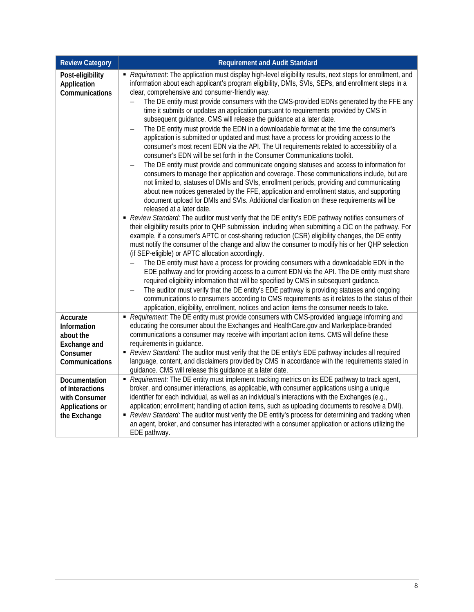| <b>Review Category</b>                                                                    | <b>Requirement and Audit Standard</b>                                                                                                                                                                                                                                                                                                                                                                                                                                                                                                                                                                                                                                                                                                                                                                                                                                                                                                                                                                                                                                                                                                                                                                                                                                                                                                                                                                                                                                                                                                                                                                                                                                                                                                                                                                                                                                                                                                                                                                                                                                                                                                                                                                                                                                                                                                                                                                                                                                                                                                            |
|-------------------------------------------------------------------------------------------|--------------------------------------------------------------------------------------------------------------------------------------------------------------------------------------------------------------------------------------------------------------------------------------------------------------------------------------------------------------------------------------------------------------------------------------------------------------------------------------------------------------------------------------------------------------------------------------------------------------------------------------------------------------------------------------------------------------------------------------------------------------------------------------------------------------------------------------------------------------------------------------------------------------------------------------------------------------------------------------------------------------------------------------------------------------------------------------------------------------------------------------------------------------------------------------------------------------------------------------------------------------------------------------------------------------------------------------------------------------------------------------------------------------------------------------------------------------------------------------------------------------------------------------------------------------------------------------------------------------------------------------------------------------------------------------------------------------------------------------------------------------------------------------------------------------------------------------------------------------------------------------------------------------------------------------------------------------------------------------------------------------------------------------------------------------------------------------------------------------------------------------------------------------------------------------------------------------------------------------------------------------------------------------------------------------------------------------------------------------------------------------------------------------------------------------------------------------------------------------------------------------------------------------------------|
| Post-eligibility<br>Application<br>Communications                                         | Requirement: The application must display high-level eligibility results, next steps for enrollment, and<br>information about each applicant's program eligibility, DMIs, SVIs, SEPs, and enrollment steps in a<br>clear, comprehensive and consumer-friendly way.<br>The DE entity must provide consumers with the CMS-provided EDNs generated by the FFE any<br>time it submits or updates an application pursuant to requirements provided by CMS in<br>subsequent guidance. CMS will release the guidance at a later date.<br>The DE entity must provide the EDN in a downloadable format at the time the consumer's<br>$\overline{\phantom{0}}$<br>application is submitted or updated and must have a process for providing access to the<br>consumer's most recent EDN via the API. The UI requirements related to accessibility of a<br>consumer's EDN will be set forth in the Consumer Communications toolkit.<br>The DE entity must provide and communicate ongoing statuses and access to information for<br>$\qquad \qquad -$<br>consumers to manage their application and coverage. These communications include, but are<br>not limited to, statuses of DMIs and SVIs, enrollment periods, providing and communicating<br>about new notices generated by the FFE, application and enrollment status, and supporting<br>document upload for DMIs and SVIs. Additional clarification on these requirements will be<br>released at a later date.<br>- Review Standard: The auditor must verify that the DE entity's EDE pathway notifies consumers of<br>their eligibility results prior to QHP submission, including when submitting a CiC on the pathway. For<br>example, if a consumer's APTC or cost-sharing reduction (CSR) eligibility changes, the DE entity<br>must notify the consumer of the change and allow the consumer to modify his or her QHP selection<br>(if SEP-eligible) or APTC allocation accordingly.<br>The DE entity must have a process for providing consumers with a downloadable EDN in the<br>$\qquad \qquad -$<br>EDE pathway and for providing access to a current EDN via the API. The DE entity must share<br>required eligibility information that will be specified by CMS in subsequent guidance.<br>The auditor must verify that the DE entity's EDE pathway is providing statuses and ongoing<br>communications to consumers according to CMS requirements as it relates to the status of their<br>application, eligibility, enrollment, notices and action items the consumer needs to take. |
| Accurate<br>Information<br>about the<br><b>Exchange and</b><br>Consumer<br>Communications | Requirement: The DE entity must provide consumers with CMS-provided language informing and<br>educating the consumer about the Exchanges and HealthCare.gov and Marketplace-branded<br>communications a consumer may receive with important action items. CMS will define these<br>requirements in guidance.<br>- Review Standard: The auditor must verify that the DE entity's EDE pathway includes all required<br>language, content, and disclaimers provided by CMS in accordance with the requirements stated in<br>guidance. CMS will release this guidance at a later date.                                                                                                                                                                                                                                                                                                                                                                                                                                                                                                                                                                                                                                                                                                                                                                                                                                                                                                                                                                                                                                                                                                                                                                                                                                                                                                                                                                                                                                                                                                                                                                                                                                                                                                                                                                                                                                                                                                                                                               |
| Documentation<br>of Interactions<br>with Consumer<br>Applications or<br>the Exchange      | Requirement: The DE entity must implement tracking metrics on its EDE pathway to track agent,<br>broker, and consumer interactions, as applicable, with consumer applications using a unique<br>identifier for each individual, as well as an individual's interactions with the Exchanges (e.g.,<br>application; enrollment; handling of action items, such as uploading documents to resolve a DMI).<br>- Review Standard: The auditor must verify the DE entity's process for determining and tracking when<br>an agent, broker, and consumer has interacted with a consumer application or actions utilizing the<br>EDE pathway.                                                                                                                                                                                                                                                                                                                                                                                                                                                                                                                                                                                                                                                                                                                                                                                                                                                                                                                                                                                                                                                                                                                                                                                                                                                                                                                                                                                                                                                                                                                                                                                                                                                                                                                                                                                                                                                                                                             |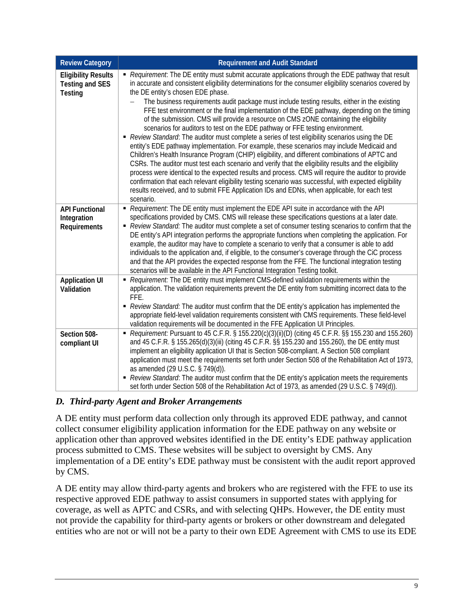| <b>Review Category</b>                                                 | <b>Requirement and Audit Standard</b>                                                                                                                                                                                                                                                                                                                                                                                                                                                                                                                                                                                                                                                                                                                                                                                                                                                                                                                                                                                                                                                                                                                                                                                                                                                                                                                               |
|------------------------------------------------------------------------|---------------------------------------------------------------------------------------------------------------------------------------------------------------------------------------------------------------------------------------------------------------------------------------------------------------------------------------------------------------------------------------------------------------------------------------------------------------------------------------------------------------------------------------------------------------------------------------------------------------------------------------------------------------------------------------------------------------------------------------------------------------------------------------------------------------------------------------------------------------------------------------------------------------------------------------------------------------------------------------------------------------------------------------------------------------------------------------------------------------------------------------------------------------------------------------------------------------------------------------------------------------------------------------------------------------------------------------------------------------------|
| <b>Eligibility Results</b><br><b>Testing and SES</b><br><b>Testing</b> | Requirement: The DE entity must submit accurate applications through the EDE pathway that result<br>in accurate and consistent eligibility determinations for the consumer eligibility scenarios covered by<br>the DE entity's chosen EDE phase.<br>The business requirements audit package must include testing results, either in the existing<br>FFE test environment or the final implementation of the EDE pathway, depending on the timing<br>of the submission. CMS will provide a resource on CMS zONE containing the eligibility<br>scenarios for auditors to test on the EDE pathway or FFE testing environment.<br>Review Standard: The auditor must complete a series of test eligibility scenarios using the DE<br>entity's EDE pathway implementation. For example, these scenarios may include Medicaid and<br>Children's Health Insurance Program (CHIP) eligibility, and different combinations of APTC and<br>CSRs. The auditor must test each scenario and verify that the eligibility results and the eligibility<br>process were identical to the expected results and process. CMS will require the auditor to provide<br>confirmation that each relevant eligibility testing scenario was successful, with expected eligibility<br>results received, and to submit FFE Application IDs and EDNs, when applicable, for each test<br>scenario. |
| <b>API Functional</b><br>Integration<br>Requirements                   | Requirement: The DE entity must implement the EDE API suite in accordance with the API<br>specifications provided by CMS. CMS will release these specifications questions at a later date.<br>- Review Standard: The auditor must complete a set of consumer testing scenarios to confirm that the<br>DE entity's API integration performs the appropriate functions when completing the application. For<br>example, the auditor may have to complete a scenario to verify that a consumer is able to add<br>individuals to the application and, if eligible, to the consumer's coverage through the CiC process<br>and that the API provides the expected response from the FFE. The functional integration testing<br>scenarios will be available in the API Functional Integration Testing toolkit.                                                                                                                                                                                                                                                                                                                                                                                                                                                                                                                                                             |
| <b>Application UI</b><br>Validation                                    | Requirement: The DE entity must implement CMS-defined validation requirements within the<br>application. The validation requirements prevent the DE entity from submitting incorrect data to the<br>FFE.<br>- Review Standard: The auditor must confirm that the DE entity's application has implemented the<br>appropriate field-level validation requirements consistent with CMS requirements. These field-level<br>validation requirements will be documented in the FFE Application UI Principles.                                                                                                                                                                                                                                                                                                                                                                                                                                                                                                                                                                                                                                                                                                                                                                                                                                                             |
| Section 508-<br>compliant UI                                           | Requirement: Pursuant to 45 C.F.R. § 155.220(c)(3)(ii)(D) (citing 45 C.F.R. §§ 155.230 and 155.260)<br>and 45 C.F.R. § 155.265(d)(3)(iii) (citing 45 C.F.R. §§ 155.230 and 155.260), the DE entity must<br>implement an eligibility application UI that is Section 508-compliant. A Section 508 compliant<br>application must meet the requirements set forth under Section 508 of the Rehabilitation Act of 1973,<br>as amended (29 U.S.C. § 749(d)).<br>- Review Standard: The auditor must confirm that the DE entity's application meets the requirements<br>set forth under Section 508 of the Rehabilitation Act of 1973, as amended (29 U.S.C. § 749(d)).                                                                                                                                                                                                                                                                                                                                                                                                                                                                                                                                                                                                                                                                                                    |

## *D. Third-party Agent and Broker Arrangements*

A DE entity must perform data collection only through its approved EDE pathway, and cannot collect consumer eligibility application information for the EDE pathway on any website or application other than approved websites identified in the DE entity's EDE pathway application process submitted to CMS. These websites will be subject to oversight by CMS. Any implementation of a DE entity's EDE pathway must be consistent with the audit report approved by CMS.

A DE entity may allow third-party agents and brokers who are registered with the FFE to use its respective approved EDE pathway to assist consumers in supported states with applying for coverage, as well as APTC and CSRs, and with selecting QHPs. However, the DE entity must not provide the capability for third-party agents or brokers or other downstream and delegated entities who are not or will not be a party to their own EDE Agreement with CMS to use its EDE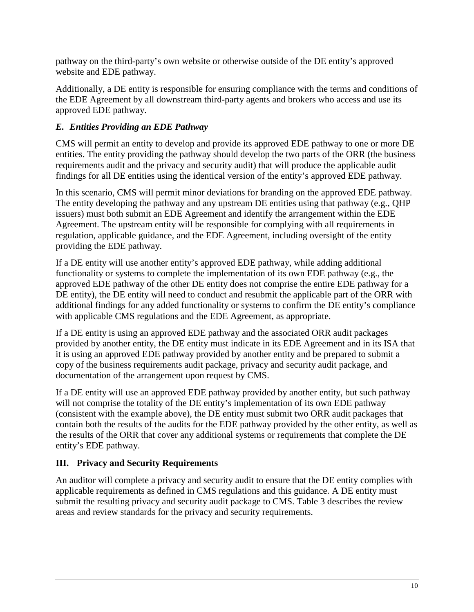pathway on the third-party's own website or otherwise outside of the DE entity's approved website and EDE pathway.

Additionally, a DE entity is responsible for ensuring compliance with the terms and conditions of the EDE Agreement by all downstream third-party agents and brokers who access and use its approved EDE pathway.

## *E. Entities Providing an EDE Pathway*

CMS will permit an entity to develop and provide its approved EDE pathway to one or more DE entities. The entity providing the pathway should develop the two parts of the ORR (the business requirements audit and the privacy and security audit) that will produce the applicable audit findings for all DE entities using the identical version of the entity's approved EDE pathway.

In this scenario, CMS will permit minor deviations for branding on the approved EDE pathway. The entity developing the pathway and any upstream DE entities using that pathway (e.g., QHP issuers) must both submit an EDE Agreement and identify the arrangement within the EDE Agreement. The upstream entity will be responsible for complying with all requirements in regulation, applicable guidance, and the EDE Agreement, including oversight of the entity providing the EDE pathway.

If a DE entity will use another entity's approved EDE pathway, while adding additional functionality or systems to complete the implementation of its own EDE pathway (e.g., the approved EDE pathway of the other DE entity does not comprise the entire EDE pathway for a DE entity), the DE entity will need to conduct and resubmit the applicable part of the ORR with additional findings for any added functionality or systems to confirm the DE entity's compliance with applicable CMS regulations and the EDE Agreement, as appropriate.

If a DE entity is using an approved EDE pathway and the associated ORR audit packages provided by another entity, the DE entity must indicate in its EDE Agreement and in its ISA that it is using an approved EDE pathway provided by another entity and be prepared to submit a copy of the business requirements audit package, privacy and security audit package, and documentation of the arrangement upon request by CMS.

If a DE entity will use an approved EDE pathway provided by another entity, but such pathway will not comprise the totality of the DE entity's implementation of its own EDE pathway (consistent with the example above), the DE entity must submit two ORR audit packages that contain both the results of the audits for the EDE pathway provided by the other entity, as well as the results of the ORR that cover any additional systems or requirements that complete the DE entity's EDE pathway.

## **III. Privacy and Security Requirements**

An auditor will complete a privacy and security audit to ensure that the DE entity complies with applicable requirements as defined in CMS regulations and this guidance. A DE entity must submit the resulting privacy and security audit package to CMS. [Table 3](#page-10-0) describes the review areas and review standards for the privacy and security requirements.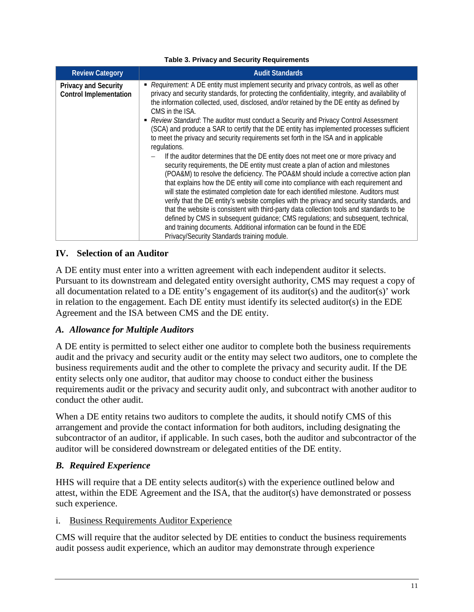<span id="page-10-0"></span>

| <b>Review Category</b>                                       | <b>Audit Standards</b>                                                                                                                                                                                                                                                                                                                                                                                                                                                                                                                                                                                                                                                                                                                                                                                                                                                                                                                                                                                                                                                                                                                                                                                                                                                                                                                                                                                                                                                   |
|--------------------------------------------------------------|--------------------------------------------------------------------------------------------------------------------------------------------------------------------------------------------------------------------------------------------------------------------------------------------------------------------------------------------------------------------------------------------------------------------------------------------------------------------------------------------------------------------------------------------------------------------------------------------------------------------------------------------------------------------------------------------------------------------------------------------------------------------------------------------------------------------------------------------------------------------------------------------------------------------------------------------------------------------------------------------------------------------------------------------------------------------------------------------------------------------------------------------------------------------------------------------------------------------------------------------------------------------------------------------------------------------------------------------------------------------------------------------------------------------------------------------------------------------------|
| <b>Privacy and Security</b><br><b>Control Implementation</b> | • Requirement: A DE entity must implement security and privacy controls, as well as other<br>privacy and security standards, for protecting the confidentiality, integrity, and availability of<br>the information collected, used, disclosed, and/or retained by the DE entity as defined by<br>CMS in the ISA.<br>Review Standard: The auditor must conduct a Security and Privacy Control Assessment<br>(SCA) and produce a SAR to certify that the DE entity has implemented processes sufficient<br>to meet the privacy and security requirements set forth in the ISA and in applicable<br>regulations.<br>If the auditor determines that the DE entity does not meet one or more privacy and<br>security requirements, the DE entity must create a plan of action and milestones<br>(POA&M) to resolve the deficiency. The POA&M should include a corrective action plan<br>that explains how the DE entity will come into compliance with each requirement and<br>will state the estimated completion date for each identified milestone. Auditors must<br>verify that the DE entity's website complies with the privacy and security standards, and<br>that the website is consistent with third-party data collection tools and standards to be<br>defined by CMS in subsequent guidance; CMS regulations; and subsequent, technical,<br>and training documents. Additional information can be found in the EDE<br>Privacy/Security Standards training module. |

#### **Table 3. Privacy and Security Requirements**

#### <span id="page-10-1"></span>**IV. Selection of an Auditor**

A DE entity must enter into a written agreement with each independent auditor it selects. Pursuant to its downstream and delegated entity oversight authority, CMS may request a copy of all documentation related to a DE entity's engagement of its auditor(s) and the auditor(s)' work in relation to the engagement. Each DE entity must identify its selected auditor(s) in the EDE Agreement and the ISA between CMS and the DE entity.

#### *A. Allowance for Multiple Auditors*

A DE entity is permitted to select either one auditor to complete both the business requirements audit and the privacy and security audit or the entity may select two auditors, one to complete the business requirements audit and the other to complete the privacy and security audit. If the DE entity selects only one auditor, that auditor may choose to conduct either the business requirements audit or the privacy and security audit only, and subcontract with another auditor to conduct the other audit.

When a DE entity retains two auditors to complete the audits, it should notify CMS of this arrangement and provide the contact information for both auditors, including designating the subcontractor of an auditor, if applicable. In such cases, both the auditor and subcontractor of the auditor will be considered downstream or delegated entities of the DE entity.

#### *B. Required Experience*

HHS will require that a DE entity selects auditor(s) with the experience outlined below and attest, within the EDE Agreement and the ISA, that the auditor(s) have demonstrated or possess such experience.

#### i. Business Requirements Auditor Experience

CMS will require that the auditor selected by DE entities to conduct the business requirements audit possess audit experience, which an auditor may demonstrate through experience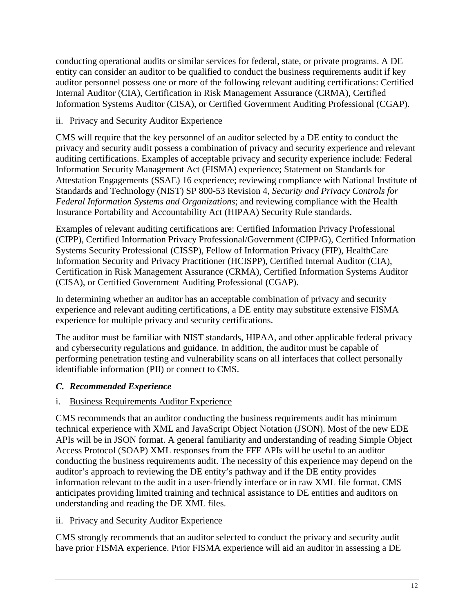conducting operational audits or similar services for federal, state, or private programs. A DE entity can consider an auditor to be qualified to conduct the business requirements audit if key auditor personnel possess one or more of the following relevant auditing certifications: Certified Internal Auditor (CIA), Certification in Risk Management Assurance (CRMA), Certified Information Systems Auditor (CISA), or Certified Government Auditing Professional (CGAP).

## ii. Privacy and Security Auditor Experience

CMS will require that the key personnel of an auditor selected by a DE entity to conduct the privacy and security audit possess a combination of privacy and security experience and relevant auditing certifications. Examples of acceptable privacy and security experience include: Federal Information Security Management Act (FISMA) experience; Statement on Standards for Attestation Engagements (SSAE) 16 experience; reviewing compliance with National Institute of Standards and Technology (NIST) SP 800-53 Revision 4, *Security and Privacy Controls for Federal Information Systems and Organizations*; and reviewing compliance with the Health Insurance Portability and Accountability Act (HIPAA) Security Rule standards.

Examples of relevant auditing certifications are: Certified Information Privacy Professional (CIPP), Certified Information Privacy Professional/Government (CIPP/G), Certified Information Systems Security Professional (CISSP), Fellow of Information Privacy (FIP), HealthCare Information Security and Privacy Practitioner (HCISPP), Certified Internal Auditor (CIA), Certification in Risk Management Assurance (CRMA), Certified Information Systems Auditor (CISA), or Certified Government Auditing Professional (CGAP).

In determining whether an auditor has an acceptable combination of privacy and security experience and relevant auditing certifications, a DE entity may substitute extensive FISMA experience for multiple privacy and security certifications.

The auditor must be familiar with NIST standards, HIPAA, and other applicable federal privacy and cybersecurity regulations and guidance. In addition, the auditor must be capable of performing penetration testing and vulnerability scans on all interfaces that collect personally identifiable information (PII) or connect to CMS.

# *C. Recommended Experience*

# i. Business Requirements Auditor Experience

CMS recommends that an auditor conducting the business requirements audit has minimum technical experience with XML and JavaScript Object Notation (JSON). Most of the new EDE APIs will be in JSON format. A general familiarity and understanding of reading Simple Object Access Protocol (SOAP) XML responses from the FFE APIs will be useful to an auditor conducting the business requirements audit. The necessity of this experience may depend on the auditor's approach to reviewing the DE entity's pathway and if the DE entity provides information relevant to the audit in a user-friendly interface or in raw XML file format. CMS anticipates providing limited training and technical assistance to DE entities and auditors on understanding and reading the DE XML files.

## ii. Privacy and Security Auditor Experience

CMS strongly recommends that an auditor selected to conduct the privacy and security audit have prior FISMA experience. Prior FISMA experience will aid an auditor in assessing a DE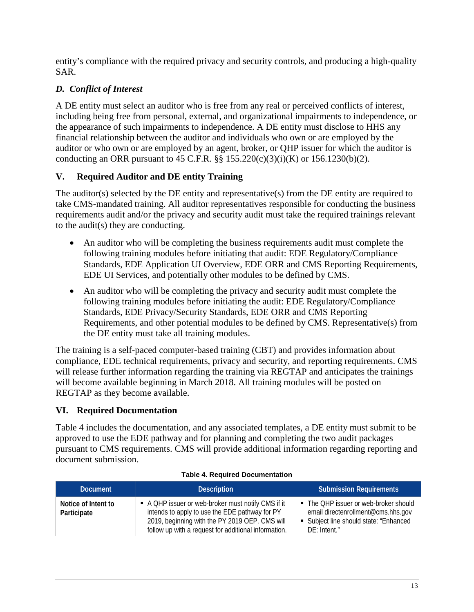entity's compliance with the required privacy and security controls, and producing a high-quality SAR.

# *D. Conflict of Interest*

A DE entity must select an auditor who is free from any real or perceived conflicts of interest, including being free from personal, external, and organizational impairments to independence, or the appearance of such impairments to independence. A DE entity must disclose to HHS any financial relationship between the auditor and individuals who own or are employed by the auditor or who own or are employed by an agent, broker, or QHP issuer for which the auditor is conducting an ORR pursuant to 45 C.F.R.  $\S$   $\S$  155.220(c)(3)(i)(K) or 156.1230(b)(2).

# **V. Required Auditor and DE entity Training**

The auditor(s) selected by the DE entity and representative(s) from the DE entity are required to take CMS-mandated training. All auditor representatives responsible for conducting the business requirements audit and/or the privacy and security audit must take the required trainings relevant to the audit(s) they are conducting.

- An auditor who will be completing the business requirements audit must complete the following training modules before initiating that audit: EDE Regulatory/Compliance Standards, EDE Application UI Overview, EDE ORR and CMS Reporting Requirements, EDE UI Services, and potentially other modules to be defined by CMS.
- An auditor who will be completing the privacy and security audit must complete the following training modules before initiating the audit: EDE Regulatory/Compliance Standards, EDE Privacy/Security Standards, EDE ORR and CMS Reporting Requirements, and other potential modules to be defined by CMS. Representative(s) from the DE entity must take all training modules.

The training is a self-paced computer-based training (CBT) and provides information about compliance, EDE technical requirements, privacy and security, and reporting requirements. CMS will release further information regarding the training via REGTAP and anticipates the trainings will become available beginning in March 2018. All training modules will be posted on REGTAP as they become available.

# **VI. Required Documentation**

[Table 4](#page-12-0) includes the documentation, and any associated templates, a DE entity must submit to be approved to use the EDE pathway and for planning and completing the two audit packages pursuant to CMS requirements. CMS will provide additional information regarding reporting and document submission.

<span id="page-12-0"></span>

| <b>Document</b>                    | <b>Description</b>                                                                                                                                                                                           | <b>Submission Requirements</b>                                                                                                          |
|------------------------------------|--------------------------------------------------------------------------------------------------------------------------------------------------------------------------------------------------------------|-----------------------------------------------------------------------------------------------------------------------------------------|
| Notice of Intent to<br>Participate | A QHP issuer or web-broker must notify CMS if it<br>intends to apply to use the EDE pathway for PY<br>2019, beginning with the PY 2019 OEP. CMS will<br>follow up with a request for additional information. | • The QHP issuer or web-broker should<br>email directenrollment@cms.hhs.gov<br>• Subject line should state: "Enhanced<br>$DF:$ Intent." |

#### **Table 4. Required Documentation**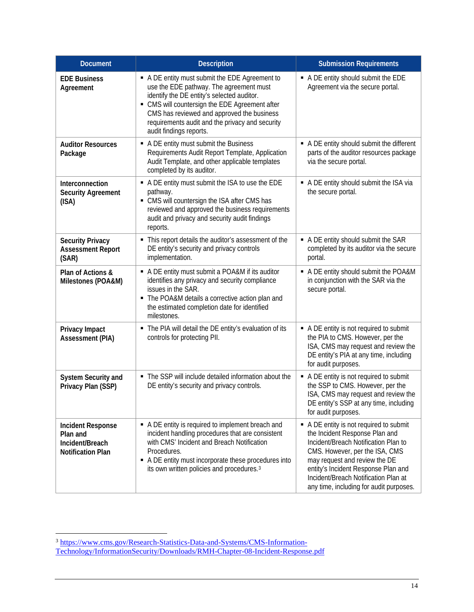| <b>Document</b>                                                                     | <b>Description</b>                                                                                                                                                                                                                                                                                                  | <b>Submission Requirements</b>                                                                                                                                                                                                                                                                               |
|-------------------------------------------------------------------------------------|---------------------------------------------------------------------------------------------------------------------------------------------------------------------------------------------------------------------------------------------------------------------------------------------------------------------|--------------------------------------------------------------------------------------------------------------------------------------------------------------------------------------------------------------------------------------------------------------------------------------------------------------|
| <b>EDE Business</b><br>Agreement                                                    | A DE entity must submit the EDE Agreement to<br>use the EDE pathway. The agreement must<br>identify the DE entity's selected auditor.<br>• CMS will countersign the EDE Agreement after<br>CMS has reviewed and approved the business<br>requirements audit and the privacy and security<br>audit findings reports. | A DE entity should submit the EDE<br>Agreement via the secure portal.                                                                                                                                                                                                                                        |
| <b>Auditor Resources</b><br>Package                                                 | • A DE entity must submit the Business<br>Requirements Audit Report Template, Application<br>Audit Template, and other applicable templates<br>completed by its auditor.                                                                                                                                            | A DE entity should submit the different<br>parts of the auditor resources package<br>via the secure portal.                                                                                                                                                                                                  |
| Interconnection<br><b>Security Agreement</b><br>(ISA)                               | A DE entity must submit the ISA to use the EDE<br>pathway.<br>• CMS will countersign the ISA after CMS has<br>reviewed and approved the business requirements<br>audit and privacy and security audit findings<br>reports.                                                                                          | A DE entity should submit the ISA via<br>the secure portal.                                                                                                                                                                                                                                                  |
| <b>Security Privacy</b><br><b>Assessment Report</b><br>(SAR)                        | This report details the auditor's assessment of the<br>٠<br>DE entity's security and privacy controls<br>implementation.                                                                                                                                                                                            | A DE entity should submit the SAR<br>completed by its auditor via the secure<br>portal.                                                                                                                                                                                                                      |
| Plan of Actions &<br>Milestones (POA&M)                                             | • A DE entity must submit a POA&M if its auditor<br>identifies any privacy and security compliance<br>issues in the SAR.<br>• The POA&M details a corrective action plan and<br>the estimated completion date for identified<br>milestones.                                                                         | • A DE entity should submit the POA&M<br>in conjunction with the SAR via the<br>secure portal.                                                                                                                                                                                                               |
| Privacy Impact<br><b>Assessment (PIA)</b>                                           | The PIA will detail the DE entity's evaluation of its<br>controls for protecting PII.                                                                                                                                                                                                                               | A DE entity is not required to submit<br>the PIA to CMS. However, per the<br>ISA, CMS may request and review the<br>DE entity's PIA at any time, including<br>for audit purposes.                                                                                                                            |
| System Security and<br>Privacy Plan (SSP)                                           | • The SSP will include detailed information about the<br>DE entity's security and privacy controls.                                                                                                                                                                                                                 | A DE entity is not required to submit<br>the SSP to CMS. However, per the<br>ISA, CMS may request and review the<br>DE entity's SSP at any time, including<br>for audit purposes.                                                                                                                            |
| <b>Incident Response</b><br>Plan and<br>Incident/Breach<br><b>Notification Plan</b> | • A DE entity is required to implement breach and<br>incident handling procedures that are consistent<br>with CMS' Incident and Breach Notification<br>Procedures.<br>A DE entity must incorporate these procedures into<br>its own written policies and procedures. <sup>3</sup>                                   | A DE entity is not required to submit<br>the Incident Response Plan and<br>Incident/Breach Notification Plan to<br>CMS. However, per the ISA, CMS<br>may request and review the DE<br>entity's Incident Response Plan and<br>Incident/Breach Notification Plan at<br>any time, including for audit purposes. |

<span id="page-13-0"></span> $\overline{a}$ <sup>3</sup> [https://www.cms.gov/Research-Statistics-Data-and-Systems/CMS-Information-](https://www.cms.gov/Research-Statistics-Data-and-Systems/CMS-Information-Technology/InformationSecurity/Downloads/RMH-Chapter-08-Incident-Response.pdf)[Technology/InformationSecurity/Downloads/RMH-Chapter-08-Incident-Response.pdf](https://www.cms.gov/Research-Statistics-Data-and-Systems/CMS-Information-Technology/InformationSecurity/Downloads/RMH-Chapter-08-Incident-Response.pdf)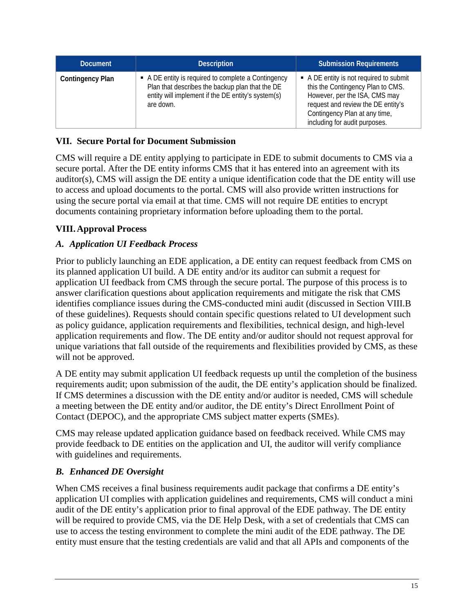| <b>Document</b>         | <b>Description</b>                                                                                                                                                        | <b>Submission Requirements</b>                                                                                                                                                                                        |
|-------------------------|---------------------------------------------------------------------------------------------------------------------------------------------------------------------------|-----------------------------------------------------------------------------------------------------------------------------------------------------------------------------------------------------------------------|
| <b>Contingency Plan</b> | • A DE entity is required to complete a Contingency<br>Plan that describes the backup plan that the DE<br>entity will implement if the DE entity's system(s)<br>are down. | • A DE entity is not required to submit<br>this the Contingency Plan to CMS.<br>However, per the ISA, CMS may<br>request and review the DE entity's<br>Contingency Plan at any time,<br>including for audit purposes. |

## **VII. Secure Portal for Document Submission**

CMS will require a DE entity applying to participate in EDE to submit documents to CMS via a secure portal. After the DE entity informs CMS that it has entered into an agreement with its auditor(s), CMS will assign the DE entity a unique identification code that the DE entity will use to access and upload documents to the portal. CMS will also provide written instructions for using the secure portal via email at that time. CMS will not require DE entities to encrypt documents containing proprietary information before uploading them to the portal.

## **VIII.Approval Process**

## *A. Application UI Feedback Process*

Prior to publicly launching an EDE application, a DE entity can request feedback from CMS on its planned application UI build. A DE entity and/or its auditor can submit a request for application UI feedback from CMS through the secure portal. The purpose of this process is to answer clarification questions about application requirements and mitigate the risk that CMS identifies compliance issues during the CMS-conducted mini audit (discussed in Section [VIII.B](#page-14-0) of these guidelines). Requests should contain specific questions related to UI development such as policy guidance, application requirements and flexibilities, technical design, and high-level application requirements and flow. The DE entity and/or auditor should not request approval for unique variations that fall outside of the requirements and flexibilities provided by CMS, as these will not be approved.

A DE entity may submit application UI feedback requests up until the completion of the business requirements audit; upon submission of the audit, the DE entity's application should be finalized. If CMS determines a discussion with the DE entity and/or auditor is needed, CMS will schedule a meeting between the DE entity and/or auditor, the DE entity's Direct Enrollment Point of Contact (DEPOC), and the appropriate CMS subject matter experts (SMEs).

CMS may release updated application guidance based on feedback received. While CMS may provide feedback to DE entities on the application and UI, the auditor will verify compliance with guidelines and requirements.

#### <span id="page-14-0"></span>*B. Enhanced DE Oversight*

When CMS receives a final business requirements audit package that confirms a DE entity's application UI complies with application guidelines and requirements, CMS will conduct a mini audit of the DE entity's application prior to final approval of the EDE pathway. The DE entity will be required to provide CMS, via the DE Help Desk, with a set of credentials that CMS can use to access the testing environment to complete the mini audit of the EDE pathway. The DE entity must ensure that the testing credentials are valid and that all APIs and components of the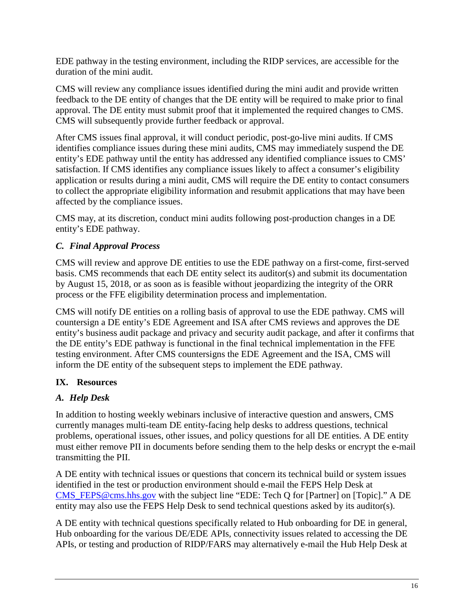EDE pathway in the testing environment, including the RIDP services, are accessible for the duration of the mini audit.

CMS will review any compliance issues identified during the mini audit and provide written feedback to the DE entity of changes that the DE entity will be required to make prior to final approval. The DE entity must submit proof that it implemented the required changes to CMS. CMS will subsequently provide further feedback or approval.

After CMS issues final approval, it will conduct periodic, post-go-live mini audits. If CMS identifies compliance issues during these mini audits, CMS may immediately suspend the DE entity's EDE pathway until the entity has addressed any identified compliance issues to CMS' satisfaction. If CMS identifies any compliance issues likely to affect a consumer's eligibility application or results during a mini audit, CMS will require the DE entity to contact consumers to collect the appropriate eligibility information and resubmit applications that may have been affected by the compliance issues.

CMS may, at its discretion, conduct mini audits following post-production changes in a DE entity's EDE pathway.

## *C. Final Approval Process*

CMS will review and approve DE entities to use the EDE pathway on a first-come, first-served basis. CMS recommends that each DE entity select its auditor(s) and submit its documentation by August 15, 2018, or as soon as is feasible without jeopardizing the integrity of the ORR process or the FFE eligibility determination process and implementation.

CMS will notify DE entities on a rolling basis of approval to use the EDE pathway. CMS will countersign a DE entity's EDE Agreement and ISA after CMS reviews and approves the DE entity's business audit package and privacy and security audit package, and after it confirms that the DE entity's EDE pathway is functional in the final technical implementation in the FFE testing environment. After CMS countersigns the EDE Agreement and the ISA, CMS will inform the DE entity of the subsequent steps to implement the EDE pathway.

# **IX. Resources**

# *A. Help Desk*

In addition to hosting weekly webinars inclusive of interactive question and answers, CMS currently manages multi-team DE entity-facing help desks to address questions, technical problems, operational issues, other issues, and policy questions for all DE entities. A DE entity must either remove PII in documents before sending them to the help desks or encrypt the e-mail transmitting the PII.

A DE entity with technical issues or questions that concern its technical build or system issues identified in the test or production environment should e-mail the FEPS Help Desk at [CMS\\_FEPS@cms.hhs.gov](mailto:CMS_FEPS@cms.hhs.gov) with the subject line "EDE: Tech Q for [Partner] on [Topic]." A DE entity may also use the FEPS Help Desk to send technical questions asked by its auditor(s).

A DE entity with technical questions specifically related to Hub onboarding for DE in general, Hub onboarding for the various DE/EDE APIs, connectivity issues related to accessing the DE APIs, or testing and production of RIDP/FARS may alternatively e-mail the Hub Help Desk at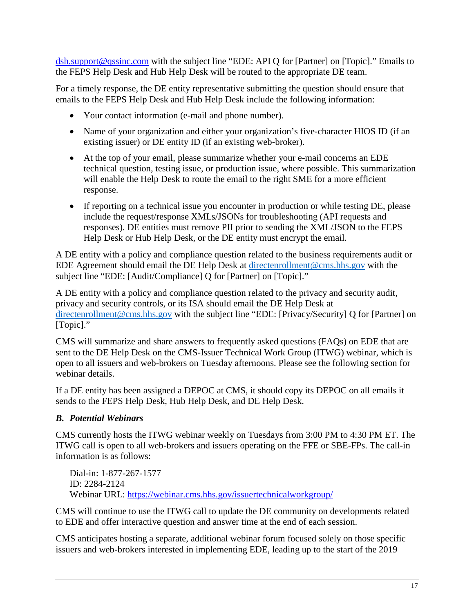[dsh.support@qssinc.com](mailto:dsh.support@qssinc.com) with the subject line "EDE: API Q for [Partner] on [Topic]." Emails to the FEPS Help Desk and Hub Help Desk will be routed to the appropriate DE team.

For a timely response, the DE entity representative submitting the question should ensure that emails to the FEPS Help Desk and Hub Help Desk include the following information:

- Your contact information (e-mail and phone number).
- Name of your organization and either your organization's five-character HIOS ID (if an existing issuer) or DE entity ID (if an existing web-broker).
- At the top of your email, please summarize whether your e-mail concerns an EDE technical question, testing issue, or production issue, where possible. This summarization will enable the Help Desk to route the email to the right SME for a more efficient response.
- If reporting on a technical issue you encounter in production or while testing DE, please include the request/response XMLs/JSONs for troubleshooting (API requests and responses). DE entities must remove PII prior to sending the XML/JSON to the FEPS Help Desk or Hub Help Desk, or the DE entity must encrypt the email.

A DE entity with a policy and compliance question related to the business requirements audit or EDE Agreement should email the DE Help Desk at [directenrollment@cms.hhs.gov](mailto:directenrollment@cms.hhs.gov) with the subject line "EDE: [Audit/Compliance] Q for [Partner] on [Topic]."

A DE entity with a policy and compliance question related to the privacy and security audit, privacy and security controls, or its ISA should email the DE Help Desk at [directenrollment@cms.hhs.gov](mailto:directenrollment@cms.hhs.gov) with the subject line "EDE: [Privacy/Security] Q for [Partner] on [Topic]."

CMS will summarize and share answers to frequently asked questions (FAQs) on EDE that are sent to the DE Help Desk on the CMS-Issuer Technical Work Group (ITWG) webinar, which is open to all issuers and web-brokers on Tuesday afternoons. Please see the following section for webinar details.

If a DE entity has been assigned a DEPOC at CMS, it should copy its DEPOC on all emails it sends to the FEPS Help Desk, Hub Help Desk, and DE Help Desk.

# *B. Potential Webinars*

CMS currently hosts the ITWG webinar weekly on Tuesdays from 3:00 PM to 4:30 PM ET. The ITWG call is open to all web-brokers and issuers operating on the FFE or SBE-FPs. The call-in information is as follows:

Dial-in: 1-877-267-1577 ID: 2284-2124 Webinar URL: <https://webinar.cms.hhs.gov/issuertechnicalworkgroup/>

CMS will continue to use the ITWG call to update the DE community on developments related to EDE and offer interactive question and answer time at the end of each session.

CMS anticipates hosting a separate, additional webinar forum focused solely on those specific issuers and web-brokers interested in implementing EDE, leading up to the start of the 2019